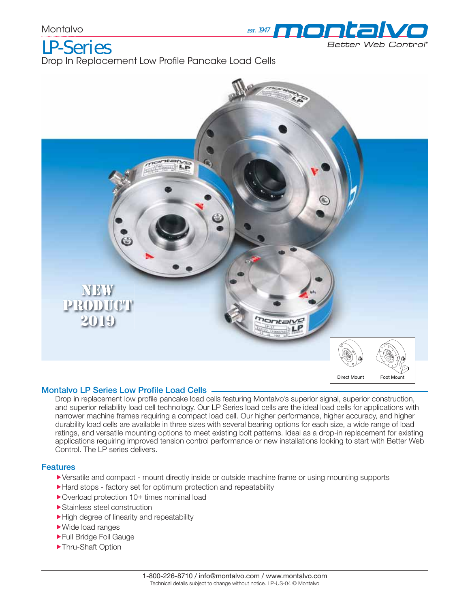

LP-Series Drop In Replacement Low Profile Pancake Load Cells



#### **Montalvo LP Series Low Profile Load Cells**

Drop in replacement low profile pancake load cells featuring Montalvo's superior signal, superior construction, and superior reliability load cell technology. Our LP Series load cells are the ideal load cells for applications with narrower machine frames requiring a compact load cell. Our higher performance, higher accuracy, and higher durability load cells are available in three sizes with several bearing options for each size, a wide range of load ratings, and versatile mounting options to meet existing bolt patterns. Ideal as a drop-in replacement for existing applications requiring improved tension control performance or new installations looking to start with Better Web Control. The LP series delivers.

### **Features**

- Versatile and compact mount directly inside or outside machine frame or using mounting supports
- Hard stops factory set for optimum protection and repeatability
- ▶ Overload protection 10+ times nominal load
- Stainless steel construction
- High degree of linearity and repeatability
- Wide load ranges
- Full Bridge Foil Gauge
- ▶Thru-Shaft Option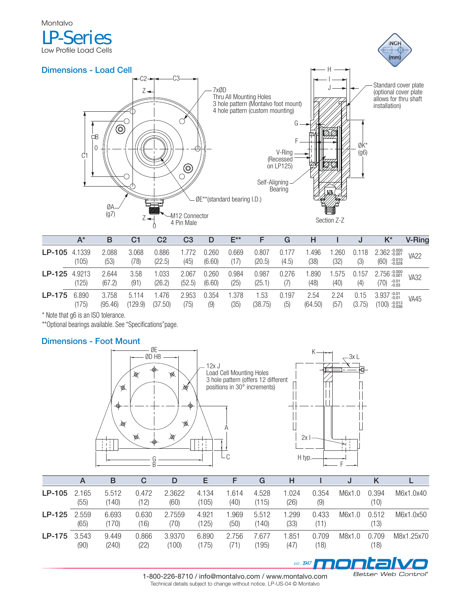

|          | $A^*$           | в                | C1                  | C2              | C <sub>3</sub>  |                 | $E^{\star\star}$ |                 | G              | н               |              | υ              | K*                               | <b>V-Ring</b> |
|----------|-----------------|------------------|---------------------|-----------------|-----------------|-----------------|------------------|-----------------|----------------|-----------------|--------------|----------------|----------------------------------|---------------|
| $LP-105$ | 4.1339<br>(105) | 2.088<br>(53)    | 3.068<br>(78)       | 0.886<br>(22.5) | .772<br>(45)    | 0.260<br>(6.60) | 0.669<br>(17)    | 0.807<br>(20.5) | 0.177<br>(4.5) | .496<br>(38)    | .260<br>(32) | 0.118<br>(3)   | $2.362 - 0.000$<br>$(60)$ -0.010 | <b>VA22</b>   |
| $LP-125$ | 4.9213<br>(125) | 2.644<br>(67.2)  | 3.58<br>(91)        | .033<br>(26.2)  | 2.067<br>(52.5) | 0.260<br>(6.60) | 0.984<br>(25)    | 0.987<br>(25.1) | 0.276<br>(7)   | .890<br>(48)    | .575<br>(40) | 0.157<br>(4)   | 2.756 -0.000<br>$(70)$ -0.01     | <b>VA32</b>   |
| LP-175   | 6.890<br>(175)  | 3.758<br>(95.46) | 51<br>14<br>(129.9) | .476<br>(37.50) | 2.953<br>(75)   | 0.354<br>(9)    | .378<br>(35)     | .53<br>(38.75)  | 0.197<br>(5)   | 2.54<br>(64.50) | 2.24<br>(57) | 0.15<br>(3.75) | $3.937 - 0.01$<br>$(100)$ -0.013 | <b>VA45</b>   |

\* Note that g6 is an ISO tolerance.

\*\*Optional bearings available. See "Specifications"page.

## **Dimensions - Foot Mount**





EST. 1947 **ADD DI CHI** 

|          | A             | в              | C             | D               | Е              |              | G              | н             |               | IJ     |               |            |
|----------|---------------|----------------|---------------|-----------------|----------------|--------------|----------------|---------------|---------------|--------|---------------|------------|
| LP-105   | 2.165<br>(55) | 5.512<br>(140) | 0.472<br>(12) | 2.3622<br>(60)  | 4.134<br>(105) | .614<br>(40) | 4.528<br>(115) | 1.024<br>(26) | 0.354<br>(9)  | M6x1.0 | 0.394<br>(10) | M6x1.0x40  |
| $LP-125$ | 2.559<br>(65) | 6.693<br>(170) | 0.630<br>(16) | 2.7559<br>(70)  | 4.921<br>(125) | .969<br>(50) | 5.512<br>(140) | 1.299<br>(33) | 0.433<br>(11) | M6x1.0 | 0.512<br>(13) | M6x1.0x50  |
| LP-175   | 3.543<br>(90) | 9.449<br>(240) | 0.866<br>(22) | 3.9370<br>(100) | 6.890<br>(175) | 2.756<br>71' | 7.677<br>(195) | 1.851<br>(47) | 0.709<br>(18) | M8x1.0 | 0.709<br>(18) | M8x1.25x70 |

1-800-226-8710 / info@montalvo.com / www.montalvo.com Technical details subject to change without notice. LP-US-04 © Montalvo

Better Web Control®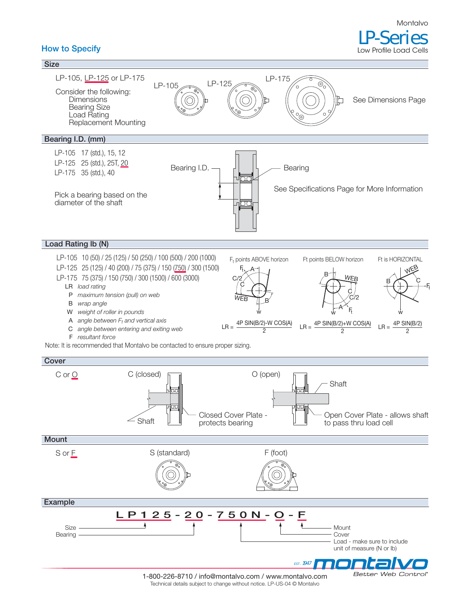### **How to Specify**

Low Profile Load Cells



1-800-226-8710 / info@montalvo.com / www.montalvo.com Technical details subject to change without notice. LP-US-04 © Montalvo

Better Web Control®